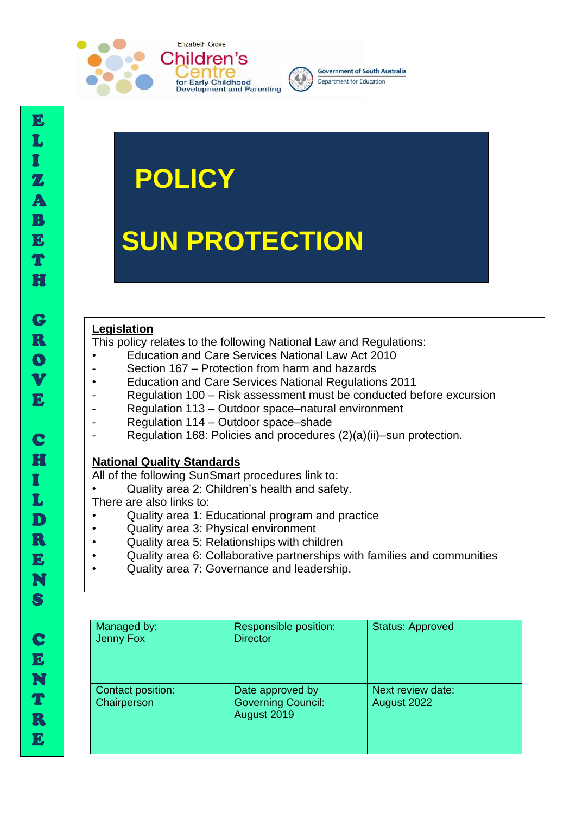



# **POLICY**

# **SUN PROTECTION**

#### **Legislation**

This policy relates to the following National Law and Regulations:

- Education and Care Services National Law Act 2010
- Section 167 Protection from harm and hazards
- Education and Care Services National Regulations 2011
- Regulation 100 Risk assessment must be conducted before excursion
- Regulation 113 Outdoor space–natural environment
- Regulation 114 Outdoor space–shade
- Regulation 168: Policies and procedures (2)(a)(ii)–sun protection.

#### **National Quality Standards**

All of the following SunSmart procedures link to:

• Quality area 2: Children's health and safety.

There are also links to:

- Quality area 1: Educational program and practice
- Quality area 3: Physical environment
- Quality area 5: Relationships with children
- Quality area 6: Collaborative partnerships with families and communities
- Quality area 7: Governance and leadership.

| Managed by:<br>Jenny Fox         | Responsible position:<br><b>Director</b>                     | <b>Status: Approved</b>          |
|----------------------------------|--------------------------------------------------------------|----------------------------------|
| Contact position:<br>Chairperson | Date approved by<br><b>Governing Council:</b><br>August 2019 | Next review date:<br>August 2022 |

I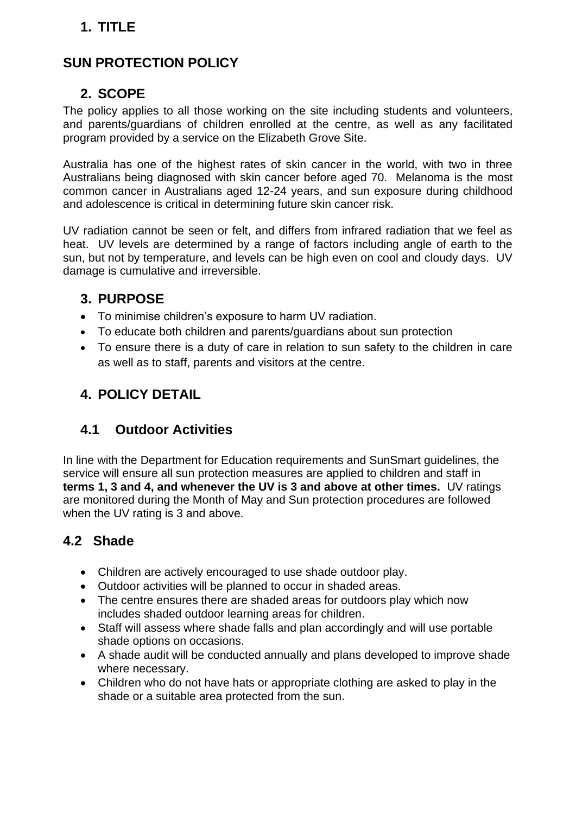# **1. TITLE**

# **SUN PROTECTION POLICY**

#### **2. SCOPE**

The policy applies to all those working on the site including students and volunteers, and parents/guardians of children enrolled at the centre, as well as any facilitated program provided by a service on the Elizabeth Grove Site.

Australia has one of the highest rates of skin cancer in the world, with two in three Australians being diagnosed with skin cancer before aged 70. Melanoma is the most common cancer in Australians aged 12-24 years, and sun exposure during childhood and adolescence is critical in determining future skin cancer risk.

UV radiation cannot be seen or felt, and differs from infrared radiation that we feel as heat. UV levels are determined by a range of factors including angle of earth to the sun, but not by temperature, and levels can be high even on cool and cloudy days. UV damage is cumulative and irreversible.

### **3. PURPOSE**

- To minimise children's exposure to harm UV radiation.
- To educate both children and parents/guardians about sun protection
- To ensure there is a duty of care in relation to sun safety to the children in care as well as to staff, parents and visitors at the centre.

### **4. POLICY DETAIL**

### **4.1 Outdoor Activities**

In line with the Department for Education requirements and SunSmart guidelines, the service will ensure all sun protection measures are applied to children and staff in **terms 1, 3 and 4, and whenever the UV is 3 and above at other times.** UV ratings are monitored during the Month of May and Sun protection procedures are followed when the UV rating is 3 and above.

# **4.2 Shade**

- Children are actively encouraged to use shade outdoor play.
- Outdoor activities will be planned to occur in shaded areas.
- The centre ensures there are shaded areas for outdoors play which now includes shaded outdoor learning areas for children.
- Staff will assess where shade falls and plan accordingly and will use portable shade options on occasions.
- A shade audit will be conducted annually and plans developed to improve shade where necessary.
- Children who do not have hats or appropriate clothing are asked to play in the shade or a suitable area protected from the sun.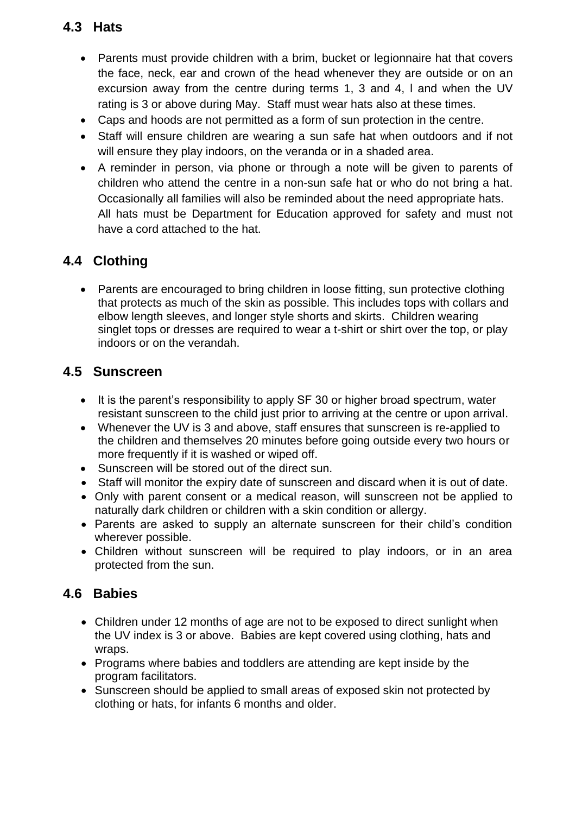# **4.3 Hats**

- Parents must provide children with a brim, bucket or legionnaire hat that covers the face, neck, ear and crown of the head whenever they are outside or on an excursion away from the centre during terms 1, 3 and 4, l and when the UV rating is 3 or above during May. Staff must wear hats also at these times.
- Caps and hoods are not permitted as a form of sun protection in the centre.
- Staff will ensure children are wearing a sun safe hat when outdoors and if not will ensure they play indoors, on the veranda or in a shaded area.
- A reminder in person, via phone or through a note will be given to parents of children who attend the centre in a non-sun safe hat or who do not bring a hat. Occasionally all families will also be reminded about the need appropriate hats. All hats must be Department for Education approved for safety and must not have a cord attached to the hat.

# **4.4 Clothing**

• Parents are encouraged to bring children in loose fitting, sun protective clothing that protects as much of the skin as possible. This includes tops with collars and elbow length sleeves, and longer style shorts and skirts. Children wearing singlet tops or dresses are required to wear a t-shirt or shirt over the top, or play indoors or on the verandah.

# **4.5 Sunscreen**

- It is the parent's responsibility to apply SF 30 or higher broad spectrum, water resistant sunscreen to the child just prior to arriving at the centre or upon arrival.
- Whenever the UV is 3 and above, staff ensures that sunscreen is re-applied to the children and themselves 20 minutes before going outside every two hours or more frequently if it is washed or wiped off.
- Sunscreen will be stored out of the direct sun.
- Staff will monitor the expiry date of sunscreen and discard when it is out of date.
- Only with parent consent or a medical reason, will sunscreen not be applied to naturally dark children or children with a skin condition or allergy.
- Parents are asked to supply an alternate sunscreen for their child's condition wherever possible.
- Children without sunscreen will be required to play indoors, or in an area protected from the sun.

### **4.6 Babies**

- Children under 12 months of age are not to be exposed to direct sunlight when the UV index is 3 or above. Babies are kept covered using clothing, hats and wraps.
- Programs where babies and toddlers are attending are kept inside by the program facilitators.
- Sunscreen should be applied to small areas of exposed skin not protected by clothing or hats, for infants 6 months and older.